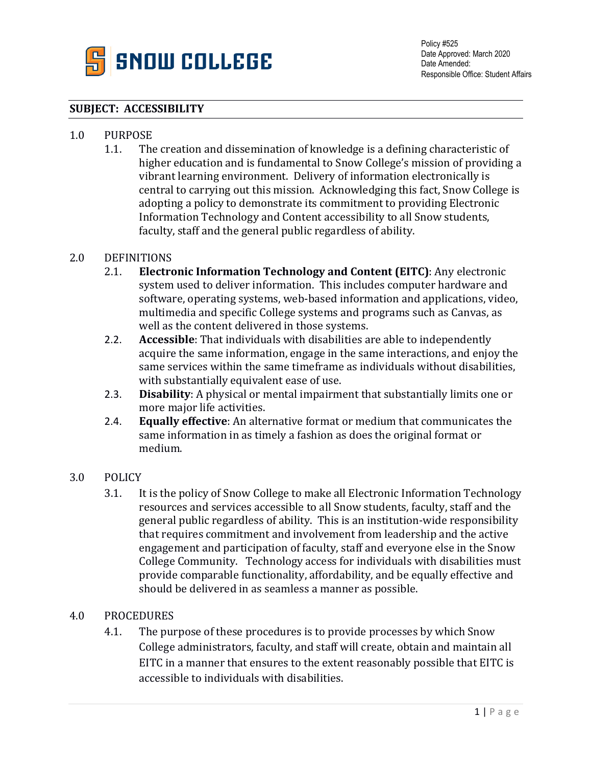

### **SUBJECT: ACCESSIBILITY**

# 1.0 PURPOSE<br>1.1. The

The creation and dissemination of knowledge is a defining characteristic of higher education and is fundamental to Snow College's mission of providing a vibrant learning environment. Delivery of information electronically is central to carrying out this mission. Acknowledging this fact, Snow College is adopting a policy to demonstrate its commitment to providing Electronic Information Technology and Content accessibility to all Snow students, faculty, staff and the general public regardless of ability.

# 2.0 DEFINITIONS<br>2.1. **Electro**

- 2.1. **Electronic Information Technology and Content (EITC)**: Any electronic system used to deliver information. This includes computer hardware and software, operating systems, web-based information and applications, video, multimedia and specific College systems and programs such as Canvas, as well as the content delivered in those systems.
- 2.2. **Accessible**: That individuals with disabilities are able to independently acquire the same information, engage in the same interactions, and enjoy the same services within the same timeframe as individuals without disabilities, with substantially equivalent ease of use.
- 2.3. **Disability**: A physical or mental impairment that substantially limits one or more major life activities.
- 2.4. **Equally effective**: An alternative format or medium that communicates the same information in as timely a fashion as does the original format or medium.

#### 3.0 POLICY

3.1. It is the policy of Snow College to make all Electronic Information Technology resources and services accessible to all Snow students, faculty, staff and the general public regardless of ability. This is an institution-wide responsibility that requires commitment and involvement from leadership and the active engagement and participation of faculty, staff and everyone else in the Snow College Community. Technology access for individuals with disabilities must provide comparable functionality, affordability, and be equally effective and should be delivered in as seamless a manner as possible.

#### 4.0 PROCEDURES

4.1. The purpose of these procedures is to provide processes by which Snow College administrators, faculty, and staff will create, obtain and maintain all EITC in a manner that ensures to the extent reasonably possible that EITC is accessible to individuals with disabilities.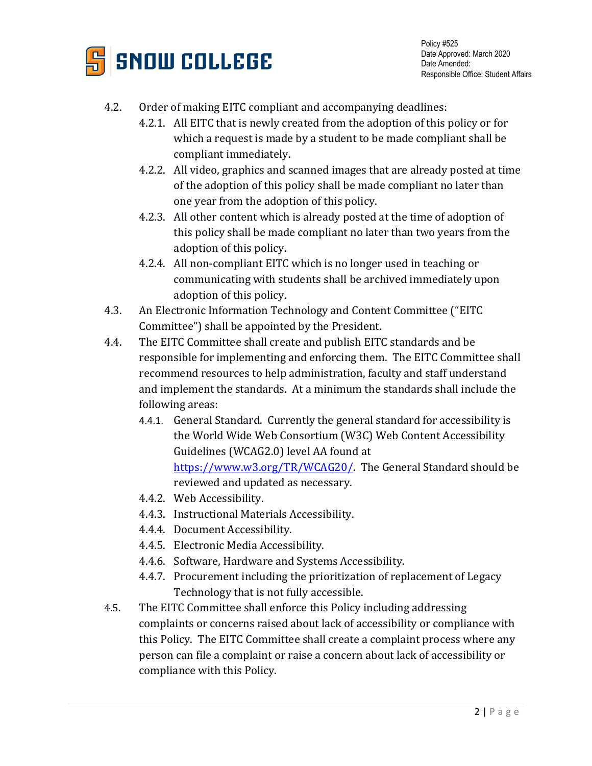

Policy #525 Date Approved: March 2020 Date Amended: Responsible Office: Student Affairs

### 4.2. Order of making EITC compliant and accompanying deadlines:

- 4.2.1. All EITC that is newly created from the adoption of this policy or for which a request is made by a student to be made compliant shall be compliant immediately.
- 4.2.2. All video, graphics and scanned images that are already posted at time of the adoption of this policy shall be made compliant no later than one year from the adoption of this policy.
- 4.2.3. All other content which is already posted at the time of adoption of this policy shall be made compliant no later than two years from the adoption of this policy.
- 4.2.4. All non-compliant EITC which is no longer used in teaching or communicating with students shall be archived immediately upon adoption of this policy.
- 4.3. An Electronic Information Technology and Content Committee ("EITC Committee") shall be appointed by the President.
- 4.4. The EITC Committee shall create and publish EITC standards and be responsible for implementing and enforcing them. The EITC Committee shall recommend resources to help administration, faculty and staff understand and implement the standards. At a minimum the standards shall include the following areas:
	- 4.4.1. General Standard. Currently the general standard for accessibility is the World Wide Web Consortium (W3C) Web Content Accessibility Guidelines (WCAG2.0) level AA found at [https://www.w3.org/TR/WCAG20/.](https://www.w3.org/TR/WCAG20/) The General Standard should be reviewed and updated as necessary.
	- 4.4.2. Web Accessibility.
	- 4.4.3. Instructional Materials Accessibility.
	- 4.4.4. Document Accessibility.
	- 4.4.5. Electronic Media Accessibility.
	- 4.4.6. Software, Hardware and Systems Accessibility.
	- 4.4.7. Procurement including the prioritization of replacement of Legacy Technology that is not fully accessible.
- 4.5. The EITC Committee shall enforce this Policy including addressing complaints or concerns raised about lack of accessibility or compliance with this Policy. The EITC Committee shall create a complaint process where any person can file a complaint or raise a concern about lack of accessibility or compliance with this Policy.